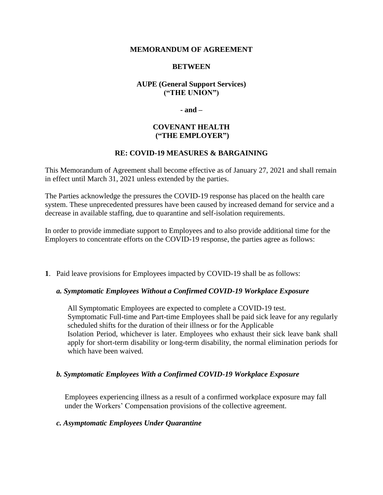#### **MEMORANDUM OF AGREEMENT**

## **BETWEEN**

# **AUPE (General Support Services) ("THE UNION")**

**- and –**

#### **COVENANT HEALTH ("THE EMPLOYER")**

# **RE: COVID-19 MEASURES & BARGAINING**

This Memorandum of Agreement shall become effective as of January 27, 2021 and shall remain in effect until March 31, 2021 unless extended by the parties.

The Parties acknowledge the pressures the COVID-19 response has placed on the health care system. These unprecedented pressures have been caused by increased demand for service and a decrease in available staffing, due to quarantine and self-isolation requirements.

In order to provide immediate support to Employees and to also provide additional time for the Employers to concentrate efforts on the COVID-19 response, the parties agree as follows:

**1**. Paid leave provisions for Employees impacted by COVID-19 shall be as follows:

#### *a. Symptomatic Employees Without a Confirmed COVID-19 Workplace Exposure*

All Symptomatic Employees are expected to complete a COVID-19 test. Symptomatic Full-time and Part-time Employees shall be paid sick leave for any regularly scheduled shifts for the duration of their illness or for the Applicable Isolation Period, whichever is later. Employees who exhaust their sick leave bank shall apply for short-term disability or long-term disability, the normal elimination periods for which have been waived.

#### *b. Symptomatic Employees With a Confirmed COVID-19 Workplace Exposure*

Employees experiencing illness as a result of a confirmed workplace exposure may fall under the Workers' Compensation provisions of the collective agreement.

#### *c. Asymptomatic Employees Under Quarantine*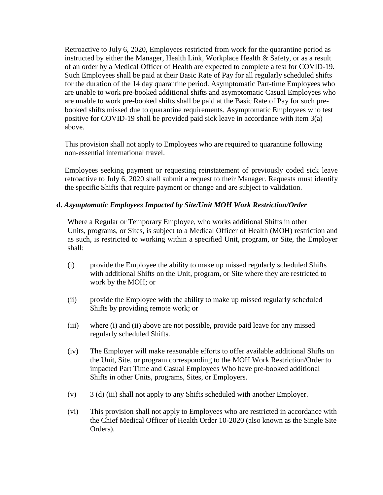Retroactive to July 6, 2020, Employees restricted from work for the quarantine period as instructed by either the Manager, Health Link, Workplace Health & Safety, or as a result of an order by a Medical Officer of Health are expected to complete a test for COVID-19. Such Employees shall be paid at their Basic Rate of Pay for all regularly scheduled shifts for the duration of the 14 day quarantine period. Asymptomatic Part-time Employees who are unable to work pre-booked additional shifts and asymptomatic Casual Employees who are unable to work pre-booked shifts shall be paid at the Basic Rate of Pay for such prebooked shifts missed due to quarantine requirements. Asymptomatic Employees who test positive for COVID-19 shall be provided paid sick leave in accordance with item 3(a) above.

This provision shall not apply to Employees who are required to quarantine following non-essential international travel.

Employees seeking payment or requesting reinstatement of previously coded sick leave retroactive to July 6, 2020 shall submit a request to their Manager. Requests must identify the specific Shifts that require payment or change and are subject to validation.

# **d.** *Asymptomatic Employees Impacted by Site/Unit MOH Work Restriction/Order*

Where a Regular or Temporary Employee, who works additional Shifts in other Units, programs, or Sites, is subject to a Medical Officer of Health (MOH) restriction and as such, is restricted to working within a specified Unit, program, or Site, the Employer shall:

- (i) provide the Employee the ability to make up missed regularly scheduled Shifts with additional Shifts on the Unit, program, or Site where they are restricted to work by the MOH; or
- (ii) provide the Employee with the ability to make up missed regularly scheduled Shifts by providing remote work; or
- (iii) where (i) and (ii) above are not possible, provide paid leave for any missed regularly scheduled Shifts.
- (iv) The Employer will make reasonable efforts to offer available additional Shifts on the Unit, Site, or program corresponding to the MOH Work Restriction/Order to impacted Part Time and Casual Employees Who have pre-booked additional Shifts in other Units, programs, Sites, or Employers.
- (v) 3 (d) (iii) shall not apply to any Shifts scheduled with another Employer.
- (vi) This provision shall not apply to Employees who are restricted in accordance with the Chief Medical Officer of Health Order 10-2020 (also known as the Single Site Orders).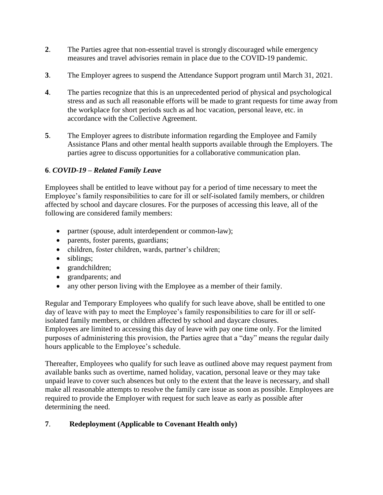- **2**. The Parties agree that non-essential travel is strongly discouraged while emergency measures and travel advisories remain in place due to the COVID-19 pandemic.
- **3**. The Employer agrees to suspend the Attendance Support program until March 31, 2021.
- **4**. The parties recognize that this is an unprecedented period of physical and psychological stress and as such all reasonable efforts will be made to grant requests for time away from the workplace for short periods such as ad hoc vacation, personal leave, etc. in accordance with the Collective Agreement.
- **5**. The Employer agrees to distribute information regarding the Employee and Family Assistance Plans and other mental health supports available through the Employers. The parties agree to discuss opportunities for a collaborative communication plan.

# **6**. *COVID-19 – Related Family Leave*

Employees shall be entitled to leave without pay for a period of time necessary to meet the Employee's family responsibilities to care for ill or self-isolated family members, or children affected by school and daycare closures. For the purposes of accessing this leave, all of the following are considered family members:

- partner (spouse, adult interdependent or common-law);
- parents, foster parents, guardians;
- children, foster children, wards, partner's children;
- siblings;
- grandchildren;
- grandparents; and
- any other person living with the Employee as a member of their family.

Regular and Temporary Employees who qualify for such leave above, shall be entitled to one day of leave with pay to meet the Employee's family responsibilities to care for ill or selfisolated family members, or children affected by school and daycare closures. Employees are limited to accessing this day of leave with pay one time only. For the limited purposes of administering this provision, the Parties agree that a "day" means the regular daily hours applicable to the Employee's schedule.

Thereafter, Employees who qualify for such leave as outlined above may request payment from available banks such as overtime, named holiday, vacation, personal leave or they may take unpaid leave to cover such absences but only to the extent that the leave is necessary, and shall make all reasonable attempts to resolve the family care issue as soon as possible. Employees are required to provide the Employer with request for such leave as early as possible after determining the need.

# **7**. **Redeployment (Applicable to Covenant Health only)**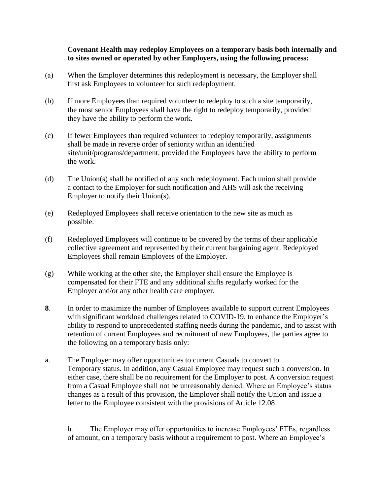## **Covenant Health may redeploy Employees on a temporary basis both internally and to sites owned or operated by other Employers, using the following process:**

- (a) When the Employer determines this redeployment is necessary, the Employer shall first ask Employees to volunteer for such redeployment.
- (b) If more Employees than required volunteer to redeploy to such a site temporarily, the most senior Employees shall have the right to redeploy temporarily, provided they have the ability to perform the work.
- (c) If fewer Employees than required volunteer to redeploy temporarily, assignments shall be made in reverse order of seniority within an identified site/unit/programs/department, provided the Employees have the ability to perform the work.
- (d) The Union(s) shall be notified of any such redeployment. Each union shall provide a contact to the Employer for such notification and AHS will ask the receiving Employer to notify their Union(s).
- (e) Redeployed Employees shall receive orientation to the new site as much as possible.
- (f) Redeployed Employees will continue to be covered by the terms of their applicable collective agreement and represented by their current bargaining agent. Redeployed Employees shall remain Employees of the Employer.
- (g) While working at the other site, the Employer shall ensure the Employee is compensated for their FTE and any additional shifts regularly worked for the Employer and/or any other health care employer.
- **8**. In order to maximize the number of Employees available to support current Employees with significant workload challenges related to COVID-19, to enhance the Employer's ability to respond to unprecedented staffing needs during the pandemic, and to assist with retention of current Employees and recruitment of new Employees, the parties agree to the following on a temporary basis only:
- a. The Employer may offer opportunities to current Casuals to convert to Temporary status. In addition, any Casual Employee may request such a conversion. In either case, there shall be no requirement for the Employer to post. A conversion request from a Casual Employee shall not be unreasonably denied. Where an Employee's status changes as a result of this provision, the Employer shall notify the Union and issue a letter to the Employee consistent with the provisions of Article 12.08

b. The Employer may offer opportunities to increase Employees' FTEs, regardless of amount, on a temporary basis without a requirement to post. Where an Employee's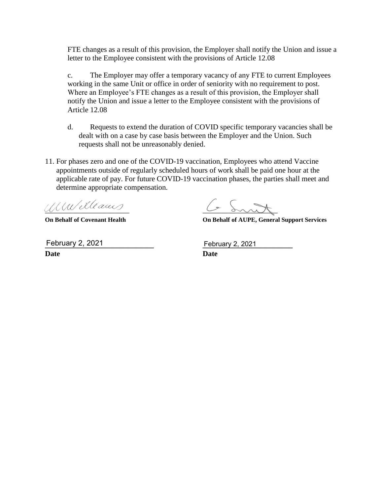FTE changes as a result of this provision, the Employer shall notify the Union and issue a letter to the Employee consistent with the provisions of Article 12.08

c. The Employer may offer a temporary vacancy of any FTE to current Employees working in the same Unit or office in order of seniority with no requirement to post. Where an Employee's FTE changes as a result of this provision, the Employer shall notify the Union and issue a letter to the Employee consistent with the provisions of Article 12.08

- d. Requests to extend the duration of COVID specific temporary vacancies shall be dealt with on a case by case basis between the Employer and the Union. Such requests shall not be unreasonably denied.
- 11. For phases zero and one of the COVID-19 vaccination, Employees who attend Vaccine appointments outside of regularly scheduled hours of work shall be paid one hour at the applicable rate of pay. For future COVID-19 vaccination phases, the parties shall meet and determine appropriate compensation.

**––––––––––––––––––––––––––– ––––––––––––––––––––––––**

**On Behalf of Covenant Health On Behalf of AUPE, General Support Services**

**Date Date** February 2, 2021

**February 2, 2021**